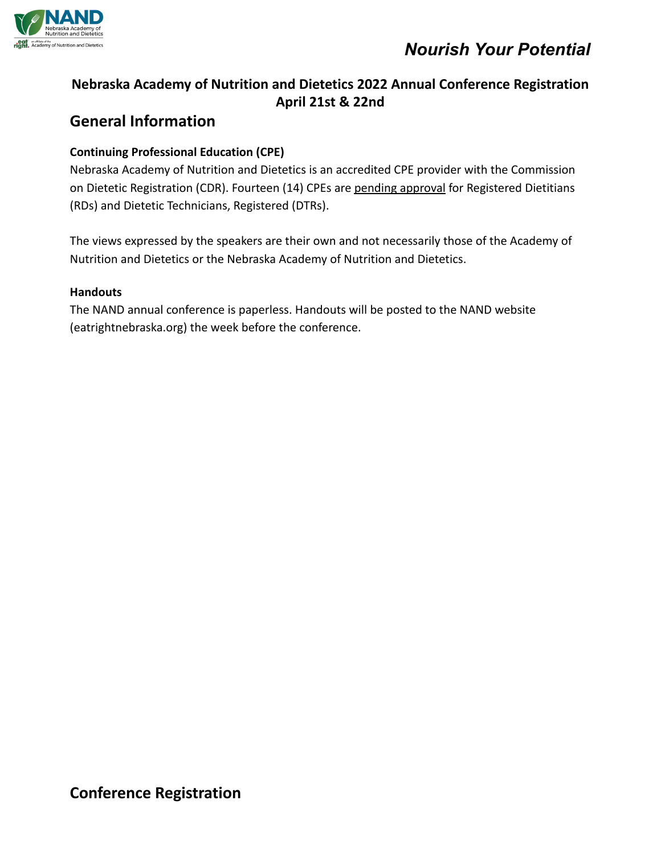

## **Nebraska Academy of Nutrition and Dietetics 2022 Annual Conference Registration April 21st & 22nd**

## **General Information**

### **Continuing Professional Education (CPE)**

Nebraska Academy of Nutrition and Dietetics is an accredited CPE provider with the Commission on Dietetic Registration (CDR). Fourteen (14) CPEs are pending approval for Registered Dietitians (RDs) and Dietetic Technicians, Registered (DTRs).

The views expressed by the speakers are their own and not necessarily those of the Academy of Nutrition and Dietetics or the Nebraska Academy of Nutrition and Dietetics.

#### **Handouts**

The NAND annual conference is paperless. Handouts will be posted to the NAND website (eatrightnebraska.org) the week before the conference.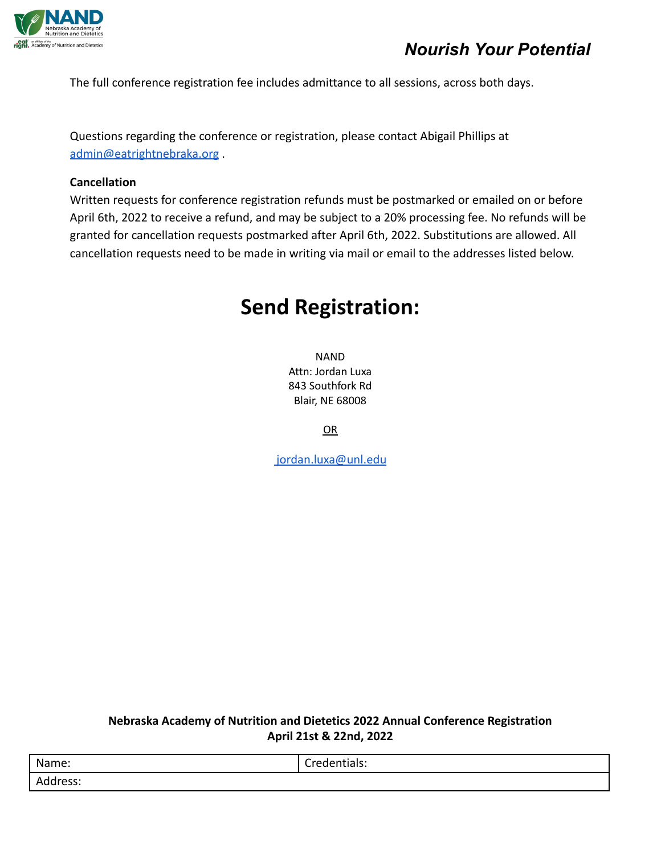

The full conference registration fee includes admittance to all sessions, across both days.

Questions regarding the conference or registration, please contact Abigail Phillips at [admin@eatrightnebraka.org](mailto:admin@eatrightnebraka.org) .

#### **Cancellation**

Written requests for conference registration refunds must be postmarked or emailed on or before April 6th, 2022 to receive a refund, and may be subject to a 20% processing fee. No refunds will be granted for cancellation requests postmarked after April 6th, 2022. Substitutions are allowed. All cancellation requests need to be made in writing via mail or email to the addresses listed below.

# **Send Registration:**

NAND Attn: Jordan Luxa 843 Southfork Rd Blair, NE 68008

OR

[jordan.luxa@unl.edu](mailto:jordan.luxa@unl.edu)

#### **Nebraska Academy of Nutrition and Dietetics 2022 Annual Conference Registration April 21st & 22nd, 2022**

| Name:                              | . .<br>$\sim$<br>Credentials: |
|------------------------------------|-------------------------------|
| dress:<br>$\overline{\phantom{a}}$ |                               |